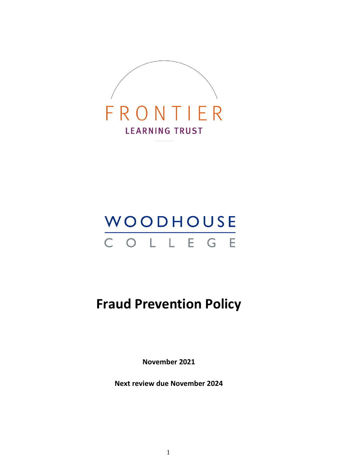

# WOODHOUSE<br>C O L L E G E

# **Fraud Prevention Policy**

**November 2021**

**Next review due November 2024**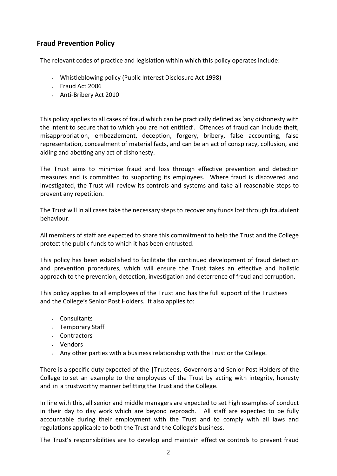# **Fraud Prevention Policy**

The relevant codes of practice and legislation within which this policy operates include:

- Whistleblowing policy (Public Interest Disclosure Act 1998)
- Fraud Act 2006
- Anti-Bribery Act 2010

This policy applies to all cases of fraud which can be practically defined as 'any dishonesty with the intent to secure that to which you are not entitled'. Offences of fraud can include theft, misappropriation, embezzlement, deception, forgery, bribery, false accounting, false representation, concealment of material facts, and can be an act of conspiracy, collusion, and aiding and abetting any act of dishonesty.

The Trust aims to minimise fraud and loss through effective prevention and detection measures and is committed to supporting its employees. Where fraud is discovered and investigated, the Trust will review its controls and systems and take all reasonable steps to prevent any repetition.

The Trust will in all cases take the necessary stepsto recover any funds lost through fraudulent behaviour.

All members of staff are expected to share this commitment to help the Trust and the College protect the public funds to which it has been entrusted.

This policy has been established to facilitate the continued development of fraud detection and prevention procedures, which will ensure the Trust takes an effective and holistic approach to the prevention, detection, investigation and deterrence of fraud and corruption.

This policy applies to all employees of the Trust and has the full support of the Trustees and the College's Senior Post Holders. It also applies to:

- Consultants
- Temporary Staff
- Contractors
- Vendors
- Any other parties with a business relationship with the Trust or the College.

There is a specific duty expected of the |Trustees, Governors and Senior Post Holders of the College to set an example to the employees of the Trust by acting with integrity, honesty and in a trustworthy manner befitting the Trust and the College.

In line with this, all senior and middle managers are expected to set high examples of conduct in their day to day work which are beyond reproach. All staff are expected to be fully accountable during their employment with the Trust and to comply with all laws and regulations applicable to both the Trust and the College's business.

The Trust's responsibilities are to develop and maintain effective controls to prevent fraud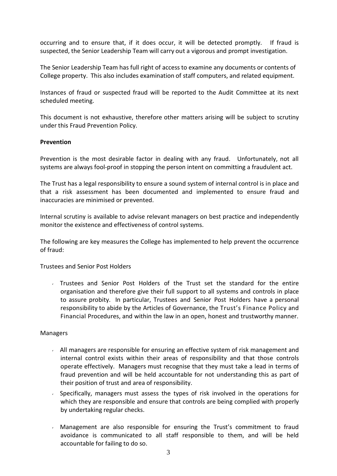occurring and to ensure that, if it does occur, it will be detected promptly. If fraud is suspected, the Senior Leadership Team will carry out a vigorous and prompt investigation.

The Senior Leadership Team has full right of access to examine any documents or contents of College property. This also includes examination of staff computers, and related equipment.

Instances of fraud or suspected fraud will be reported to the Audit Committee at its next scheduled meeting.

This document is not exhaustive, therefore other matters arising will be subject to scrutiny under this Fraud Prevention Policy.

## **Prevention**

Prevention is the most desirable factor in dealing with any fraud. Unfortunately, not all systems are always fool-proof in stopping the person intent on committing a fraudulent act.

The Trust has a legal responsibility to ensure a sound system of internal control is in place and that a risk assessment has been documented and implemented to ensure fraud and inaccuracies are minimised or prevented.

Internal scrutiny is available to advise relevant managers on best practice and independently monitor the existence and effectiveness of control systems.

The following are key measures the College has implemented to help prevent the occurrence of fraud:

Trustees and Senior Post Holders

Trustees and Senior Post Holders of the Trust set the standard for the entire organisation and therefore give their full support to all systems and controls in place to assure probity. In particular, Trustees and Senior Post Holders have a personal responsibility to abide by the Articles of Governance, the Trust's Finance Policy and Financial Procedures, and within the law in an open, honest and trustworthy manner.

#### Managers

- $\sim$  All managers are responsible for ensuring an effective system of risk management and internal control exists within their areas of responsibility and that those controls operate effectively. Managers must recognise that they must take a lead in terms of fraud prevention and will be held accountable for not understanding this as part of their position of trust and area of responsibility.
- Specifically, managers must assess the types of risk involved in the operations for which they are responsible and ensure that controls are being complied with properly by undertaking regular checks.
- Management are also responsible for ensuring the Trust's commitment to fraud avoidance is communicated to all staff responsible to them, and will be held accountable for failing to do so.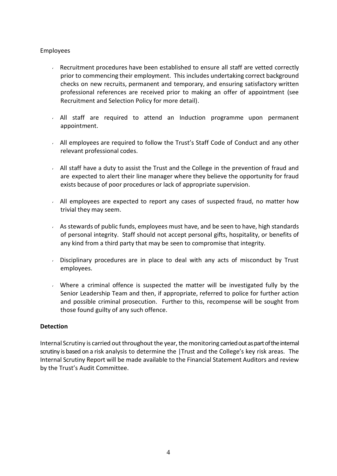# Employees

- Recruitment procedures have been established to ensure all staff are vetted correctly prior to commencing their employment. This includes undertaking correct background checks on new recruits, permanent and temporary, and ensuring satisfactory written professional references are received prior to making an offer of appointment (see Recruitment and Selection Policy for more detail).
- All staff are required to attend an Induction programme upon permanent appointment.
- $\sim$  All employees are required to follow the Trust's Staff Code of Conduct and any other relevant professional codes.
- $\sim$  All staff have a duty to assist the Trust and the College in the prevention of fraud and are expected to alert their line manager where they believe the opportunity for fraud exists because of poor procedures or lack of appropriate supervision.
- All employees are expected to report any cases of suspected fraud, no matter how trivial they may seem.
- $\sim$  As stewards of public funds, employees must have, and be seen to have, high standards of personal integrity. Staff should not accept personal gifts, hospitality, or benefits of any kind from a third party that may be seen to compromise that integrity.
- Disciplinary procedures are in place to deal with any acts of misconduct by Trust employees.
- Where a criminal offence is suspected the matter will be investigated fully by the Senior Leadership Team and then, if appropriate, referred to police for further action and possible criminal prosecution. Further to this, recompense will be sought from those found guilty of any such offence.

## **Detection**

Internal Scrutiny is carried out throughout the year, the monitoring carried out as part of the internal scrutiny is based on a risk analysis to determine the |Trust and the College's key risk areas. The Internal Scrutiny Report will be made available to the Financial Statement Auditors and review by the Trust's Audit Committee.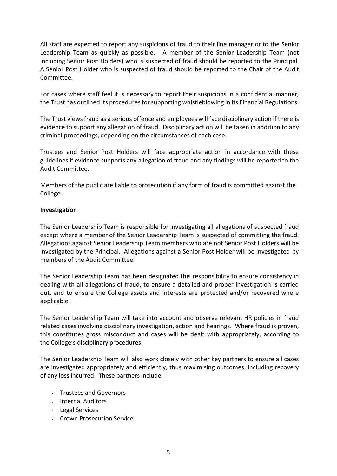All staff are expected to report any suspicions of fraud to their line manager or to the Senior Leadership Team as quickly as possible. A member of the Senior Leadership Team (not including Senior Post Holders) who is suspected of fraud should be reported to the Principal. A Senior Post Holder who is suspected of fraud should be reported to the Chair of the Audit Committee.

For cases where staff feel it is necessary to report their suspicions in a confidential manner, the Trust has outlined its procedures for supporting whistleblowing in its Financial Regulations.

The Trust viewsfraud as a serious offence and employees will face disciplinary action if there is evidence to support any allegation of fraud. Disciplinary action will be taken in addition to any criminal proceedings, depending on the circumstances of each case.

Trustees and Senior Post Holders will face appropriate action in accordance with these guidelines if evidence supports any allegation of fraud and any findings will be reported to the Audit Committee.

Members of the public are liable to prosecution if any form of fraud is committed against the College.

# **Investigation**

The Senior Leadership Team is responsible for investigating all allegations of suspected fraud except where a member of the Senior Leadership Team is suspected of committing the fraud. Allegations against Senior Leadership Team members who are not Senior Post Holders will be investigated by the Principal. Allegations against a Senior Post Holder will be investigated by members of the Audit Committee.

The Senior Leadership Team has been designated this responsibility to ensure consistency in dealing with all allegations of fraud, to ensure a detailed and proper investigation is carried out, and to ensure the College assets and interests are protected and/or recovered where applicable.

The Senior Leadership Team will take into account and observe relevant HR policies in fraud related cases involving disciplinary investigation, action and hearings. Where fraud is proven, this constitutes gross misconduct and cases will be dealt with appropriately, according to the College's disciplinary procedures.

The Senior Leadership Team will also work closely with other key partners to ensure all cases are investigated appropriately and efficiently, thus maximising outcomes, including recovery of any loss incurred. These partners include:

- Trustees and Governors
- Internal Auditors
- Legal Services
- Crown Prosecution Service